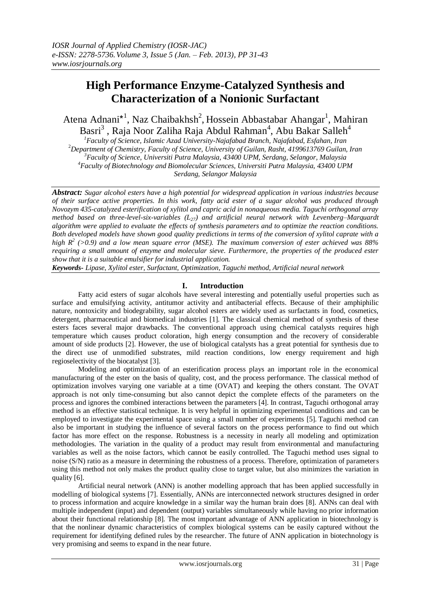# **High Performance Enzyme-Catalyzed Synthesis and Characterization of a Nonionic Surfactant**

Atena Adnani<sup>\*1</sup>, Naz Chaibakhsh<sup>2</sup>, Hossein Abbastabar Ahangar<sup>1</sup>, Mahiran Basri $^3$  , Raja Noor Zaliha Raja Abdul Rahman<sup>4</sup>, Abu Bakar Salleh<sup>4</sup>

*Faculty of Science, Islamic Azad University-Najafabad Branch, Najafabad, Esfahan, Iran Department of Chemistry, Faculty of Science, University of Guilan, Rasht, 4199613769 Guilan, Iran Faculty of Science, Universiti Putra Malaysia, 43400 UPM, Serdang, Selangor, Malaysia Faculty of Biotechnology and Biomolecular Sciences, Universiti Putra Malaysia, 43400 UPM Serdang, Selangor Malaysia*

*Abstract: Sugar alcohol esters have a high potential for widespread application in various industries because of their surface active properties. In this work, fatty acid ester of a sugar alcohol was produced through Novozym 435-catalyzed esterification of xylitol and capric acid in nonaqueous media. Taguchi orthogonal array method based on three-level-six-variables (L27) and artificial neural network with Levenberg–Marquardt algorithm were applied to evaluate the effects of synthesis parameters and to optimize the reaction conditions. Both developed models have shown good quality predictions in terms of the conversion of xylitol caprate with a high R<sup>2</sup> (>0.9) and a low mean square error (MSE). The maximum conversion of ester achieved was 88% requiring a small amount of enzyme and molecular sieve. Furthermore, the properties of the produced ester show that it is a suitable emulsifier for industrial application.*

*Keywords- Lipase, Xylitol ester, Surfactant, Optimization, Taguchi method, Artificial neural network*

## **I. Introduction**

Fatty acid esters of sugar alcohols have several interesting and potentially useful properties such as surface and emulsifying activity, antitumor activity and antibacterial effects. Because of their amphiphilic nature, nontoxicity and biodegrability, sugar alcohol esters are widely used as surfactants in food, cosmetics, detergent, pharmaceutical and biomedical industries [1]. The classical chemical method of synthesis of these esters faces several major drawbacks. The conventional approach using chemical catalysts requires high temperature which causes product coloration, high energy consumption and the recovery of considerable amount of side products [2]. However, the use of biological catalysts has a great potential for synthesis due to the direct use of unmodified substrates, mild reaction conditions, low energy requirement and high regioselectivity of the biocatalyst [3].

 Modeling and optimization of an esterification process plays an important role in the economical manufacturing of the ester on the basis of quality, cost, and the process performance. The classical method of optimization involves varying one variable at a time (OVAT) and keeping the others constant. The OVAT approach is not only time-consuming but also cannot depict the complete effects of the parameters on the process and ignores the combined interactions between the parameters [4]. In contrast, Taguchi orthogonal array method is an effective statistical technique. It is very helpful in optimizing experimental conditions and can be employed to investigate the experimental space using a small number of experiments [5]. Taguchi method can also be important in studying the influence of several factors on the process performance to find out which factor has more effect on the response. Robustness is a necessity in nearly all modeling and optimization methodologies. The variation in the quality of a product may result from environmental and manufacturing variables as well as the noise factors, which cannot be easily controlled. The Taguchi method uses signal to noise (S/N) ratio as a measure in determining the robustness of a process. Therefore, optimization of parameters using this method not only makes the product quality close to target value, but also minimizes the variation in quality [6].

 Artificial neural network (ANN) is another modelling approach that has been applied successfully in modelling of biological systems [7]. Essentially, ANNs are interconnected network structures designed in order to process information and acquire knowledge in a similar way the human brain does [8]. ANNs can deal with multiple independent (input) and dependent (output) variables simultaneously while having no prior information about their functional relationship [8]. The most important advantage of ANN application in biotechnology is that the nonlinear dynamic characteristics of complex biological systems can be easily captured without the requirement for identifying defined rules by the researcher. The future of ANN application in biotechnology is very promising and seems to expand in the near future.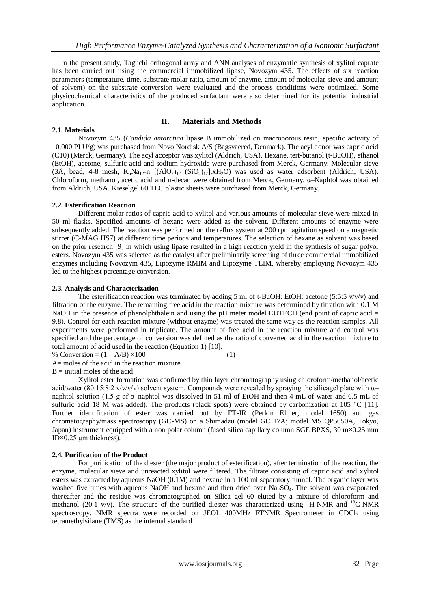In the present study, Taguchi orthogonal array and ANN analyses of enzymatic synthesis of xylitol caprate has been carried out using the commercial immobilized lipase, Novozym 435. The effects of six reaction parameters (temperature, time, substrate molar ratio, amount of enzyme, amount of molecular sieve and amount of solvent) on the substrate conversion were evaluated and the process conditions were optimized. Some physicochemical characteristics of the produced surfactant were also determined for its potential industrial application.

### **2.1. Materials**

### **II. Materials and Methods**

Novozym 435 (*Candida antarctica* lipase B immobilized on macroporous resin, specific activity of 10,000 PLU/g) was purchased from Novo Nordisk A/S (Bagsvaered, Denmark). The acyl donor was capric acid (C10) (Merck, Germany). The acyl acceptor was xylitol (Aldrich, USA). Hexane, tert-butanol (t-BuOH), ethanol (EtOH), acetone, sulfuric acid and sodium hydroxide were purchased from Merck, Germany. Molecular sieve  $(3\text{\AA})$ , bead, 4-8 mesh, K<sub>n</sub>Na<sub>12</sub>-n  $[(AlO<sub>2</sub>)<sub>12</sub> (SiO<sub>2</sub>)<sub>12</sub>].xH<sub>2</sub>O]$  was used as water adsorbent (Aldrich, USA). Chloroform, methanol, acetic acid and n-decan were obtained from Merck, Germany. α–Naphtol was obtained from Aldrich, USA. Kieselgel 60 TLC plastic sheets were purchased from Merck, Germany.

### **2.2. Esterification Reaction**

Different molar ratios of capric acid to xylitol and various amounts of molecular sieve were mixed in 50 ml flasks. Specified amounts of hexane were added as the solvent. Different amounts of enzyme were subsequently added. The reaction was performed on the reflux system at 200 rpm agitation speed on a magnetic stirrer (C-MAG HS7) at different time periods and temperatures. The selection of hexane as solvent was based on the prior research [9] in which using lipase resulted in a high reaction yield in the synthesis of sugar polyol esters. Novozym 435 was selected as the catalyst after preliminarily screening of three commercial immobilized enzymes including Novozym 435, Lipozyme RMIM and Lipozyme TLIM, whereby employing Novozym 435 led to the highest percentage conversion.

### **2.3. Analysis and Characterization**

The esterification reaction was terminated by adding 5 ml of t-BuOH: EtOH: acetone (5:5:5  $v/v/v$ ) and filtration of the enzyme. The remaining free acid in the reaction mixture was determined by titration with 0.1 M NaOH in the presence of phenolphthalein and using the pH meter model EUTECH (end point of capric acid = 9.8). Control for each reaction mixture (without enzyme) was treated the same way as the reaction samples. All experiments were performed in triplicate. The amount of free acid in the reaction mixture and control was specified and the percentage of conversion was defined as the ratio of converted acid in the reaction mixture to total amount of acid used in the reaction (Equation 1) [10].

% Conversion =  $(1 - A/B) \times 100$  (1)

A= moles of the acid in the reaction mixture

 $B =$  initial moles of the acid

 Xylitol ester formation was confirmed by thin layer chromatography using chloroform/methanol/acetic acid/water (80:15:8:2 v/v/v/v) solvent system. Compounds were revealed by spraying the silicagel plate with  $\alpha$ – naphtol solution (1.5 g of α–naphtol was dissolved in 51 ml of EtOH and then 4 mL of water and 6.5 mL of sulfuric acid 18 M was added). The products (black spots) were obtained by carbonization at 105 °C [11]. Further identification of ester was carried out by FT-IR (Perkin Elmer, model 1650) and gas chromatography/mass spectroscopy (GC-MS) on a Shimadzu (model GC 17A; model MS QP5050A, Tokyo, Japan) instrument equipped with a non polar column (fused silica capillary column SGE BPXS, 30 m×0.25 mm ID $\times$ 0.25 μm thickness).

## **2.4. Purification of the Product**

For purification of the diester (the major product of esterification), after termination of the reaction, the enzyme, molecular sieve and unreacted xylitol were filtered. The filtrate consisting of capric acid and xylitol esters was extracted by aqueous NaOH (0.1M) and hexane in a 100 ml separatory funnel. The organic layer was washed five times with aqueous NaOH and hexane and then dried over Na<sub>2</sub>SO<sub>4</sub>. The solvent was evaporated thereafter and the residue was chromatographed on Silica gel 60 eluted by a mixture of chloroform and methanol (20:1 v/v). The structure of the purified diester was characterized using <sup>1</sup>H-NMR and <sup>13</sup>C-NMR spectroscopy. NMR spectra were recorded on JEOL 400MHz FTNMR Spectrometer in CDCl<sub>3</sub> using tetramethylsilane (TMS) as the internal standard.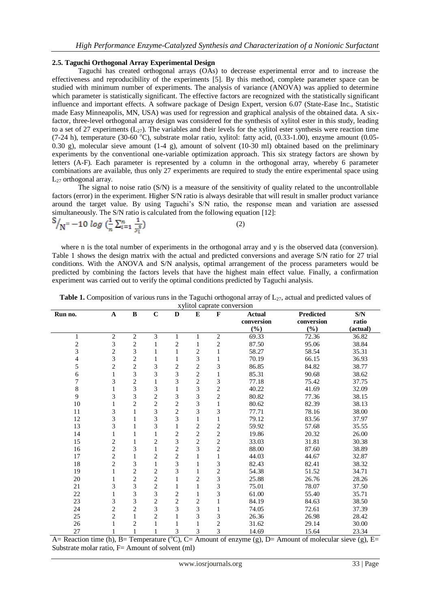### **2.5. Taguchi Orthogonal Array Experimental Design**

Taguchi has created orthogonal arrays (OAs) to decrease experimental error and to increase the effectiveness and reproducibility of the experiments [5]. By this method, complete parameter space can be studied with minimum number of experiments. The analysis of variance (ANOVA) was applied to determine which parameter is statistically significant. The effective factors are recognized with the statistically significant influence and important effects. A software package of Design Expert, version 6.07 (State-Ease Inc., Statistic made Easy Minneapolis, MN, USA) was used for regression and graphical analysis of the obtained data. A sixfactor, three-level orthogonal array design was considered for the synthesis of xylitol ester in this study, leading to a set of 27 experiments  $(L_{27})$ . The variables and their levels for the xylitol ester synthesis were reaction time (7-24 h), temperature (30-60  $^{\circ}$ C), substrate molar ratio, xylitol: fatty acid, (0.33-1.00), enzyme amount (0.05-0.30 g), molecular sieve amount (1-4 g), amount of solvent (10-30 ml) obtained based on the preliminary experiments by the conventional one-variable optimization approach. This six strategy factors are shown by letters (A-F). Each parameter is represented by a column in the orthogonal array, whereby 6 parameter combinations are available, thus only 27 experiments are required to study the entire experimental space using  $L_{27}$  orthogonal array.

 The signal to noise ratio (S/N) is a measure of the sensitivity of quality related to the uncontrollable factors (error) in the experiment. Higher S/N ratio is always desirable that will result in smaller product variance around the target value. By using Taguchi's S/N ratio, the response mean and variation are assessed simultaneously. The S/N ratio is calculated from the following equation [12]:

$$
S'_{N} = -10 \log \left( \frac{1}{n} \sum_{i=1}^{n} \frac{1}{y_i^2} \right) \tag{2}
$$

where n is the total number of experiments in the orthogonal array and y is the observed data (conversion). Table 1 shows the design matrix with the actual and predicted conversions and average S/N ratio for 27 trial conditions. With the ANOVA and S/N analysis, optimal arrangement of the process parameters would be predicted by combining the factors levels that have the highest main effect value. Finally, a confirmation experiment was carried out to verify the optimal conditions predicted by Taguchi analysis.

| Run no.                  | $\mathbf A$             | $\, {\bf B}$   | $\bf C$                 | $\mathbf D$    | ${\bf E}$      | A yntor captate con version<br>$\mathbf F$ | <b>Actual</b> | <b>Predicted</b> | $\mathbf{S}/\mathbf{N}$ |
|--------------------------|-------------------------|----------------|-------------------------|----------------|----------------|--------------------------------------------|---------------|------------------|-------------------------|
|                          |                         |                |                         |                |                |                                            | conversion    | conversion       | ratio                   |
|                          |                         |                |                         |                |                |                                            | (%)           | (%)              | (actual)                |
| 1                        | $\overline{2}$          | $\overline{2}$ | 3                       |                | 1              | $\overline{c}$                             | 69.33         | 72.36            | 36.82                   |
|                          | 3                       | $\overline{c}$ | 1                       | $\overline{c}$ | 1              | $\overline{\mathbf{c}}$                    | 87.50         | 95.06            | 38.84                   |
| $\frac{2}{3}$            | $\overline{c}$          | 3              | 1                       |                | $\overline{c}$ | $\,1$                                      | 58.27         | 58.54            | 35.31                   |
| $\overline{\mathcal{L}}$ | 3                       | $\mathbf{2}$   | 1                       | 1              | 3              | $\mathbf{1}$                               | 70.19         | 66.15            | 36.93                   |
| 5                        | $\overline{c}$          | $\overline{2}$ | 3                       | $\overline{2}$ | $\overline{2}$ | 3                                          | 86.85         | 84.82            | 38.77                   |
| 6                        | 1                       | 3              | 3                       | 3              | $\overline{c}$ | 1                                          | 85.31         | 90.68            | 38.62                   |
| 7                        | 3                       | $\overline{2}$ | 1                       | 3              | $\overline{2}$ | 3                                          | 77.18         | 75.42            | 37.75                   |
| 8                        |                         | 3              | 3                       | 1              | 3              | $\overline{c}$                             | 40.22         | 41.69            | 32.09                   |
| 9                        | 3                       | 3              | $\overline{c}$          | 3              | 3              | $\overline{c}$                             | 80.82         | 77.36            | 38.15                   |
| $10\,$                   |                         | $\overline{2}$ | $\overline{\mathbf{c}}$ | $\sqrt{2}$     | 3              | $\mathbf{1}$                               | 80.62         | 82.39            | 38.13                   |
| 11                       | 3                       |                | 3                       | $\overline{c}$ | 3              | 3                                          | 77.71         | 78.16            | 38.00                   |
| 12                       | 3                       |                | $\overline{3}$          | 3              |                | $\mathbf{1}$                               | 79.12         | 83.56            | 37.97                   |
| 13                       | 3                       |                | 3                       | 1              | $\overline{c}$ | $\overline{c}$                             | 59.92         | 57.68            | 35.55                   |
| 14                       |                         |                | 1                       | 2              | $\overline{c}$ | $\overline{c}$                             | 19.86         | 20.32            | 26.00                   |
| 15                       | $\overline{c}$          |                | $\overline{c}$          | 3              | $\overline{c}$ | $\overline{c}$                             | 33.03         | 31.81            | 30.38                   |
| 16                       | $\overline{c}$          | 3              | $\mathbf{1}$            | $\mathfrak{2}$ | 3              | $\overline{c}$                             | 88.00         | 87.60            | 38.89                   |
| 17                       | $\overline{c}$          |                | $\overline{c}$          | $\sqrt{2}$     |                | $\mathbf{1}$                               | 44.03         | 44.67            | 32.87                   |
| 18                       | $\overline{c}$          | 3              | $\mathbf{1}$            | 3              |                | 3                                          | 82.43         | 82.41            | 38.32                   |
| 19                       |                         | $\overline{2}$ | $\overline{\mathbf{c}}$ | 3              |                | $\overline{c}$                             | 54.38         | 51.52            | 34.71                   |
| $20\,$                   |                         | $\mathbf{2}$   | $\overline{\mathbf{c}}$ | 1              | $\overline{2}$ | 3                                          | 25.88         | 26.76            | 28.26                   |
| 21                       | 3                       | 3              | $\overline{c}$          | 1              |                | 3                                          | 75.01         | 78.07            | 37.50                   |
| $22\,$                   |                         | 3              | 3                       | $\sqrt{2}$     |                | 3                                          | 61.00         | 55.40            | 35.71                   |
| 23                       | 3                       | 3              | $\overline{c}$          | $\overline{c}$ | 2              | $\,1$                                      | 84.19         | 84.63            | 38.50                   |
| 24                       | 2                       | $\overline{2}$ | 3                       | 3              | 3              | $\mathbf{1}$                               | 74.05         | 72.61            | 37.39                   |
| 25                       | $\overline{\mathbf{c}}$ |                | $\overline{c}$          | 1              | 3              | 3                                          | 26.36         | 26.98            | 28.42                   |
| 26                       |                         | $\overline{c}$ |                         |                |                | $\overline{c}$                             | 31.62         | 29.14            | 30.00                   |
| 27                       |                         |                |                         | 3              | 3              | 3                                          | 14.69         | 15.64            | 23.34                   |

| <b>Table 1.</b> Composition of various runs in the Taguchi orthogonal array of $L_{27}$ , actual and predicted values of |
|--------------------------------------------------------------------------------------------------------------------------|
| <i>xylitol caprate conversion</i>                                                                                        |

A= Reaction time (h), B= Temperature ( $\degree$ C), C= Amount of enzyme (g), D= Amount of molecular sieve (g), E= Substrate molar ratio,  $F=$  Amount of solvent (ml)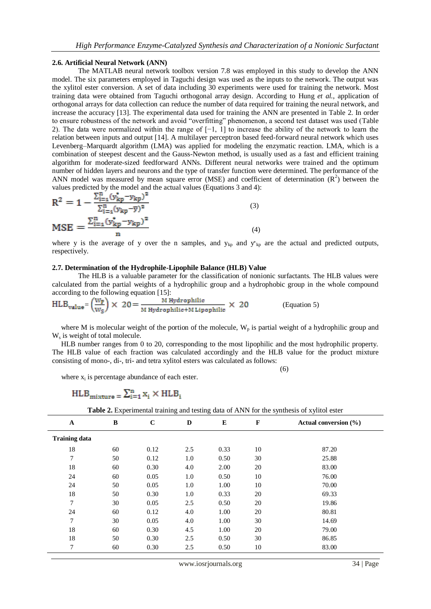#### **2.6. Artificial Neural Network (ANN)**

The MATLAB neural network toolbox version 7.8 was employed in this study to develop the ANN model. The six parameters employed in Taguchi design was used as the inputs to the network. The output was the xylitol ester conversion. A set of data including 30 experiments were used for training the network. Most training data were obtained from Taguchi orthogonal array design. According to Hung *et al.*, application of orthogonal arrays for data collection can reduce the number of data required for training the neural network, and increase the accuracy [13]. The experimental data used for training the ANN are presented in Table 2. In order to ensure robustness of the network and avoid "overfitting" phenomenon, a second test dataset was used (Table 2). The data were normalized within the range of [−1, 1] to increase the ability of the network to learn the relation between inputs and output [14]. A multilayer perceptron based feed-forward neural network which uses Levenberg–Marquardt algorithm (LMA) was applied for modeling the enzymatic reaction. LMA, which is a combination of steepest descent and the Gauss-Newton method, is usually used as a fast and efficient training algorithm for moderate-sized feedforward ANNs. Different neural networks were trained and the optimum number of hidden layers and neurons and the type of transfer function were determined. The performance of the ANN model was measured by mean square error (MSE) and coefficient of determination  $(R^2)$  between the values predicted by the model and the actual values (Equations 3 and 4):

$$
R^{2} = 1 - \frac{\sum_{i=1}^{n} (y_{kp}^{*} - y_{kp})^{2}}{\sum_{i=1}^{n} (y_{kp} - \overline{y})^{2}}
$$
  
\n
$$
MSE = \frac{\sum_{i=1}^{n} (y_{kp}^{*} - y_{kp})^{2}}{n}
$$
\n(3)

where y is the average of y over the n samples, and  $y_{kp}$  and  $y_{kp}$  are the actual and predicted outputs, respectively.

#### **2.7. Determination of the Hydrophile-Lipophile Balance (HLB) Value**

The HLB is a valuable parameter for the classification of nonionic surfactants. The HLB values were calculated from the partial weights of a hydrophilic group and a hydrophobic group in the whole compound according to the following equation [15]:

$$
HLB_{value} = \left(\frac{W_P}{W_S}\right) \times 20 = \frac{M \text{ Hydrophilic}}{M \text{ Hydrophilic+M Lipophilic}} \times 20
$$
 (Equation 5)

(6)

where M is molecular weight of the portion of the molecule,  $W_p$  is partial weight of a hydrophilic group and W<sup>s</sup> is weight of total molecule.

 HLB number ranges from 0 to 20, corresponding to the most lipophilic and the most hydrophilic property. The HLB value of each fraction was calculated accordingly and the HLB value for the product mixture consisting of mono-, di-, tri- and tetra xylitol esters was calculated as follows:

where  $x_i$  is percentage abundance of each ester.

# $HLB_{mixture} = \sum_{i=1}^{n} x_i \times HLB_i$

**Table 2.** Experimental training and testing data of ANN for the synthesis of xylitol ester

| $\mathbf{A}$         | B  | $\mathbf C$ | D   | E    | $\mathbf{F}$ | Actual conversion (%) |
|----------------------|----|-------------|-----|------|--------------|-----------------------|
| <b>Training data</b> |    |             |     |      |              |                       |
| 18                   | 60 | 0.12        | 2.5 | 0.33 | 10           | 87.20                 |
| 7                    | 50 | 0.12        | 1.0 | 0.50 | 30           | 25.88                 |
| 18                   | 60 | 0.30        | 4.0 | 2.00 | 20           | 83.00                 |
| 24                   | 60 | 0.05        | 1.0 | 0.50 | 10           | 76.00                 |
| 24                   | 50 | 0.05        | 1.0 | 1.00 | 10           | 70.00                 |
| 18                   | 50 | 0.30        | 1.0 | 0.33 | 20           | 69.33                 |
| 7                    | 30 | 0.05        | 2.5 | 0.50 | 20           | 19.86                 |
| 24                   | 60 | 0.12        | 4.0 | 1.00 | 20           | 80.81                 |
| 7                    | 30 | 0.05        | 4.0 | 1.00 | 30           | 14.69                 |
| 18                   | 60 | 0.30        | 4.5 | 1.00 | 20           | 79.00                 |
| 18                   | 50 | 0.30        | 2.5 | 0.50 | 30           | 86.85                 |
| 7                    | 60 | 0.30        | 2.5 | 0.50 | 10           | 83.00                 |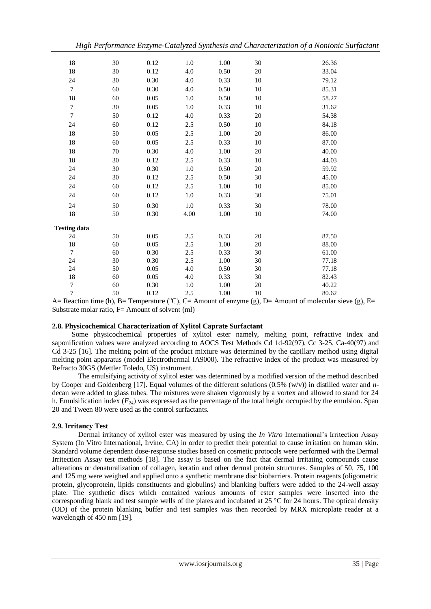| High Performance Enzyme-Catalyzed Synthesis and Characterization of a Nonionic Surfactant |  |  |  |  |
|-------------------------------------------------------------------------------------------|--|--|--|--|
|                                                                                           |  |  |  |  |

| 18                  | 30 | 0.12     | 1.0     | 1.00     | $\overline{30}$ | 26.36 |
|---------------------|----|----------|---------|----------|-----------------|-------|
| $18\,$              | 30 | 0.12     | 4.0     | 0.50     | 20              | 33.04 |
| 24                  | 30 | 0.30     | 4.0     | 0.33     | 10              | 79.12 |
| $\tau$              | 60 | 0.30     | 4.0     | 0.50     | 10              | 85.31 |
| $18\,$              | 60 | 0.05     | 1.0     | 0.50     | 10              | 58.27 |
| $\boldsymbol{7}$    | 30 | 0.05     | $1.0\,$ | 0.33     | 10              | 31.62 |
| $\tau$              | 50 | 0.12     | 4.0     | 0.33     | 20              | 54.38 |
| 24                  | 60 | 0.12     | 2.5     | 0.50     | 10              | 84.18 |
| 18                  | 50 | 0.05     | 2.5     | 1.00     | 20              | 86.00 |
| 18                  | 60 | $0.05\,$ | 2.5     | 0.33     | 10              | 87.00 |
| 18                  | 70 | 0.30     | 4.0     | 1.00     | 20              | 40.00 |
| 18                  | 30 | 0.12     | 2.5     | 0.33     | 10              | 44.03 |
| 24                  | 30 | 0.30     | 1.0     | 0.50     | 20              | 59.92 |
| 24                  | 30 | 0.12     | 2.5     | 0.50     | 30              | 45.00 |
| 24                  | 60 | 0.12     | 2.5     | 1.00     | 10              | 85.00 |
| 24                  | 60 | 0.12     | $1.0\,$ | 0.33     | 30              | 75.01 |
| 24                  | 50 | $0.30\,$ | $1.0\,$ | 0.33     | 30              | 78.00 |
| 18                  | 50 | 0.30     | 4.00    | $1.00\,$ | 10              | 74.00 |
| <b>Testing data</b> |    |          |         |          |                 |       |
| 24                  | 50 | 0.05     | 2.5     | 0.33     | 20              | 87.50 |
| 18                  | 60 | 0.05     | 2.5     | 1.00     | 20              | 88.00 |
| 7                   | 60 | 0.30     | 2.5     | 0.33     | 30              | 61.00 |
| 24                  | 30 | 0.30     | 2.5     | 1.00     | 30              | 77.18 |
| 24                  | 50 | 0.05     | 4.0     | 0.50     | 30              | 77.18 |
| 18                  | 60 | 0.05     | 4.0     | 0.33     | 30              | 82.43 |
| 7                   | 60 | 0.30     | 1.0     | 1.00     | 20              | 40.22 |
| $\boldsymbol{7}$    | 50 | 0.12     | 2.5     | 1.00     | 10              | 80.62 |

A= Reaction time (h), B= Temperature ( $\degree$ C), C= Amount of enzyme (g), D= Amount of molecular sieve (g), E= Substrate molar ratio,  $F=$  Amount of solvent (ml)

### **2.8. Physicochemical Characterization of Xylitol Caprate Surfactant**

Some physicochemical properties of xylitol ester namely, melting point, refractive index and saponification values were analyzed according to AOCS Test Methods Cd 1d-92(97), Cc 3-25, Ca-40(97) and Cd 3-25 [16]. The melting point of the product mixture was determined by the capillary method using digital melting point apparatus (model Electrothermal IA9000). The refractive index of the product was measured by Refracto 30GS (Mettler Toledo, US) instrument.

 The emulsifying activity of xylitol ester was determined by a modified version of the method described by Cooper and Goldenberg [17]. Equal volumes of the different solutions (0.5% (w/v)) in distilled water and *n*decan were added to glass tubes. The mixtures were shaken vigorously by a vortex and allowed to stand for 24 h. Emulsification index  $(E_{24})$  was expressed as the percentage of the total height occupied by the emulsion. Span 20 and Tween 80 were used as the control surfactants.

## **2.9. Irritancy Test**

Dermal irritancy of xylitol ester was measured by using the *In Vitro* International's Irritection Assay System (In Vitro International, Irvine, CA) in order to predict their potential to cause irritation on human skin. Standard volume dependent dose-response studies based on cosmetic protocols were performed with the Dermal Irritection Assay test methods [18]. The assay is based on the fact that dermal irritating compounds cause alterations or denaturalization of collagen, keratin and other dermal protein structures. Samples of 50, 75, 100 and 125 mg were weighed and applied onto a synthetic membrane disc biobarriers. Protein reagents (oligometric protein, glycoprotein, lipids constituents and globulins) and blanking buffers were added to the 24-well assay plate. The synthetic discs which contained various amounts of ester samples were inserted into the corresponding blank and test sample wells of the plates and incubated at 25 °C for 24 hours. The optical density (OD) of the protein blanking buffer and test samples was then recorded by MRX microplate reader at a wavelength of 450 nm [19].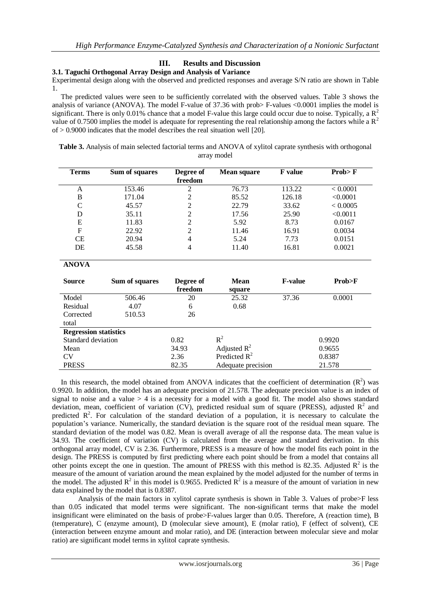# **III. Results and Discussion**

### **3.1. Taguchi Orthogonal Array Design and Analysis of Variance**

Experimental design along with the observed and predicted responses and average S/N ratio are shown in Table 1.

 The predicted values were seen to be sufficiently correlated with the observed values. Table 3 shows the analysis of variance (ANOVA). The model F-value of 37.36 with prob> F-values <0.0001 implies the model is significant. There is only 0.01% chance that a model F-value this large could occur due to noise. Typically, a  $\mathbb{R}^2$ value of 0.7500 implies the model is adequate for representing the real relationship among the factors while a  $\mathbb{R}^2$  $of > 0.9000$  indicates that the model describes the real situation well [20].

|  | Table 3. Analysis of main selected factorial terms and ANOVA of xylitol caprate synthesis with orthogonal |             |  |  |  |  |
|--|-----------------------------------------------------------------------------------------------------------|-------------|--|--|--|--|
|  |                                                                                                           | array model |  |  |  |  |

| <b>Terms</b> | Sum of squares | Degree of<br>freedom | <b>Mean square</b> | <b>F</b> value | Prob > F |
|--------------|----------------|----------------------|--------------------|----------------|----------|
| A            | 153.46         | 2                    | 76.73              | 113.22         | < 0.0001 |
| B            | 171.04         | 2                    | 85.52              | 126.18         | < 0.0001 |
| C            | 45.57          | 2                    | 22.79              | 33.62          | < 0.0005 |
| D            | 35.11          | 2                    | 17.56              | 25.90          | < 0.0011 |
| E            | 11.83          | 2                    | 5.92               | 8.73           | 0.0167   |
| F            | 22.92          | $\mathfrak{D}$       | 11.46              | 16.91          | 0.0034   |
| CE           | 20.94          | 4                    | 5.24               | 7.73           | 0.0151   |
| DE           | 45.58          | 4                    | 11.40              | 16.81          | 0.0021   |

**ANOVA**

| <b>Source</b>                | Sum of squares | Degree of<br>freedom | <b>Mean</b><br>square | <b>F-value</b> | Prob>F |
|------------------------------|----------------|----------------------|-----------------------|----------------|--------|
| Model                        | 506.46         | 20                   | 25.32                 | 37.36          | 0.0001 |
| Residual                     | 4.07           | 6                    | 0.68                  |                |        |
| Corrected                    | 510.53         | 26                   |                       |                |        |
| total                        |                |                      |                       |                |        |
| <b>Regression statistics</b> |                |                      |                       |                |        |
| Standard deviation           |                | 0.82                 | $R^2$                 |                | 0.9920 |
| Mean                         |                | 34.93                | Adjusted $R^2$        |                | 0.9655 |
| <b>CV</b>                    |                | 2.36                 | Predicted $R^2$       |                | 0.8387 |
| <b>PRESS</b>                 |                | 82.35                | Adequate precision    |                | 21.578 |

In this research, the model obtained from ANOVA indicates that the coefficient of determination  $(R^2)$  was 0.9920. In addition, the model has an adequate precision of 21.578. The adequate precision value is an index of signal to noise and a value > 4 is a necessity for a model with a good fit. The model also shows standard deviation, mean, coefficient of variation (CV), predicted residual sum of square (PRESS), adjusted  $R^2$  and predicted  $\mathbb{R}^2$ . For calculation of the standard deviation of a population, it is necessary to calculate the population's variance. Numerically, the standard deviation is the square root of the residual mean square. The standard deviation of the model was 0.82. Mean is overall average of all the response data. The mean value is 34.93. The coefficient of variation (CV) is calculated from the average and standard derivation. In this orthogonal array model, CV is 2.36. Furthermore, PRESS is a measure of how the model fits each point in the design. The PRESS is computed by first predicting where each point should be from a model that contains all other points except the one in question. The amount of PRESS with this method is 82.35. Adjusted  $\mathbb{R}^2$  is the measure of the amount of variation around the mean explained by the model adjusted for the number of terms in the model. The adjusted  $R^2$  in this model is 0.9655. Predicted  $R^2$  is a measure of the amount of variation in new data explained by the model that is 0.8387.

Analysis of the main factors in xylitol caprate synthesis is shown in Table 3. Values of probe>F less than 0.05 indicated that model terms were significant. The non-significant terms that make the model insignificant were eliminated on the basis of probe>F-values larger than 0.05. Therefore, A (reaction time), B (temperature), C (enzyme amount), D (molecular sieve amount), E (molar ratio), F (effect of solvent), CE (interaction between enzyme amount and molar ratio), and DE (interaction between molecular sieve and molar ratio) are significant model terms in xylitol caprate synthesis.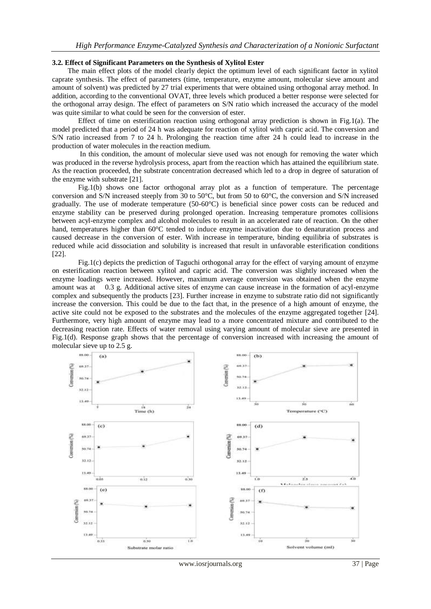### **3.2. Effect of Significant Parameters on the Synthesis of Xylitol Ester**

The main effect plots of the model clearly depict the optimum level of each significant factor in xylitol caprate synthesis. The effect of parameters (time, temperature, enzyme amount, molecular sieve amount and amount of solvent) was predicted by 27 trial experiments that were obtained using orthogonal array method. In addition, according to the conventional OVAT, three levels which produced a better response were selected for the orthogonal array design. The effect of parameters on S/N ratio which increased the accuracy of the model was quite similar to what could be seen for the conversion of ester.

 Effect of time on esterification reaction using orthogonal array prediction is shown in Fig.1(a). The model predicted that a period of 24 h was adequate for reaction of xylitol with capric acid. The conversion and S/N ratio increased from 7 to 24 h. Prolonging the reaction time after 24 h could lead to increase in the production of water molecules in the reaction medium.

 In this condition, the amount of molecular sieve used was not enough for removing the water which was produced in the reverse hydrolysis process, apart from the reaction which has attained the equilibrium state. As the reaction proceeded, the substrate concentration decreased which led to a drop in degree of saturation of the enzyme with substrate [21].

 Fig.1(b) shows one factor orthogonal array plot as a function of temperature. The percentage conversion and S/N increased steeply from 30 to 50°C, but from 50 to 60°C, the conversion and S/N increased gradually. The use of moderate temperature (50-60°C) is beneficial since power costs can be reduced and enzyme stability can be preserved during prolonged operation. Increasing temperature promotes collisions between acyl-enzyme complex and alcohol molecules to result in an accelerated rate of reaction. On the other hand, temperatures higher than 60°C tended to induce enzyme inactivation due to denaturation process and caused decrease in the conversion of ester. With increase in temperature, binding equilibria of substrates is reduced while acid dissociation and solubility is increased that result in unfavorable esterification conditions [22].

 Fig.1(c) depicts the prediction of Taguchi orthogonal array for the effect of varying amount of enzyme on esterification reaction between xylitol and capric acid. The conversion was slightly increased when the enzyme loadings were increased. However, maximum average conversion was obtained when the enzyme amount was at 0.3 g. Additional active sites of enzyme can cause increase in the formation of acyl-enzyme complex and subsequently the products [23]. Further increase in enzyme to substrate ratio did not significantly increase the conversion. This could be due to the fact that, in the presence of a high amount of enzyme, the active site could not be exposed to the substrates and the molecules of the enzyme aggregated together [24]. Furthermore, very high amount of enzyme may lead to a more concentrated mixture and contributed to the decreasing reaction rate. Effects of water removal using varying amount of molecular sieve are presented in Fig.1(d). Response graph shows that the percentage of conversion increased with increasing the amount of molecular sieve up to 2.5 g.



www.iosrjournals.org 37 | Page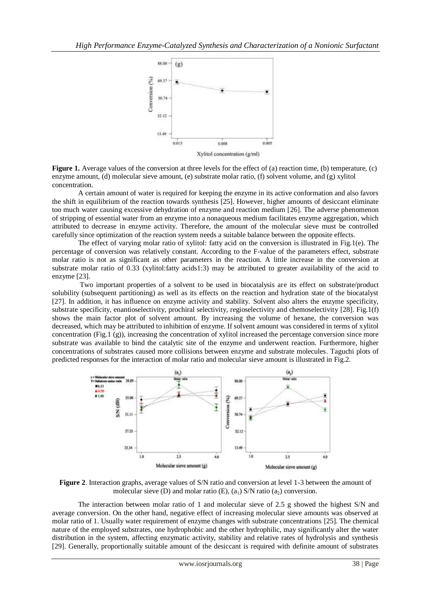

**Figure 1.** Average values of the conversion at three levels for the effect of (a) reaction time, (b) temperature, (c) enzyme amount, (d) molecular sieve amount, (e) substrate molar ratio, (f) solvent volume, and (g) xylitol concentration.

A certain amount of water is required for keeping the enzyme in its active conformation and also favors the shift in equilibrium of the reaction towards synthesis [25]. However, higher amounts of desiccant eliminate too much water causing excessive dehydration of enzyme and reaction medium [26]. The adverse phenomenon of stripping of essential water from an enzyme into a nonaqueous medium facilitates enzyme aggregation, which attributed to decrease in enzyme activity. Therefore, the amount of the molecular sieve must be controlled carefully since optimization of the reaction system needs a suitable balance between the opposite effects.

 The effect of varying molar ratio of xylitol: fatty acid on the conversion is illustrated in Fig.1(e). The percentage of conversion was relatively constant. According to the F-value of the parameters effect, substrate molar ratio is not as significant as other parameters in the reaction. A little increase in the conversion at substrate molar ratio of 0.33 (xylitol:fatty acids1:3) may be attributed to greater availability of the acid to enzyme [23].

 Two important properties of a solvent to be used in biocatalysis are its effect on substrate/product solubility (subsequent partitioning) as well as its effects on the reaction and hydration state of the biocatalyst [27]. In addition, it has influence on enzyme activity and stability. Solvent also alters the enzyme specificity, substrate specificity, enantioselectivity, prochiral selectivity, regioselectivity and chemoselectivity [28]. Fig.1(f) shows the main factor plot of solvent amount. By increasing the volume of hexane, the conversion was decreased, which may be attributed to inhibition of enzyme. If solvent amount was considered in terms of xylitol concentration (Fig.1 (g)), increasing the concentration of xylitol increased the percentage conversion since more substrate was available to bind the catalytic site of the enzyme and underwent reaction. Furthermore, higher concentrations of substrates caused more collisions between enzyme and substrate molecules. Taguchi plots of predicted responses for the interaction of molar ratio and molecular sieve amount is illustrated in Fig.2.



**Figure 2**. Interaction graphs, average values of S/N ratio and conversion at level 1-3 between the amount of molecular sieve (D) and molar ratio (E),  $(a_1)$  S/N ratio  $(a_2)$  conversion.

 The interaction between molar ratio of 1 and molecular sieve of 2.5 g showed the highest S/N and average conversion. On the other hand, negative effect of increasing molecular sieve amounts was observed at molar ratio of 1. Usually water requirement of enzyme changes with substrate concentrations [25]. The chemical nature of the employed substrates, one hydrophobic and the other hydrophilic, may significantly alter the water distribution in the system, affecting enzymatic activity, stability and relative rates of hydrolysis and synthesis [29]. Generally, proportionally suitable amount of the desiccant is required with definite amount of substrates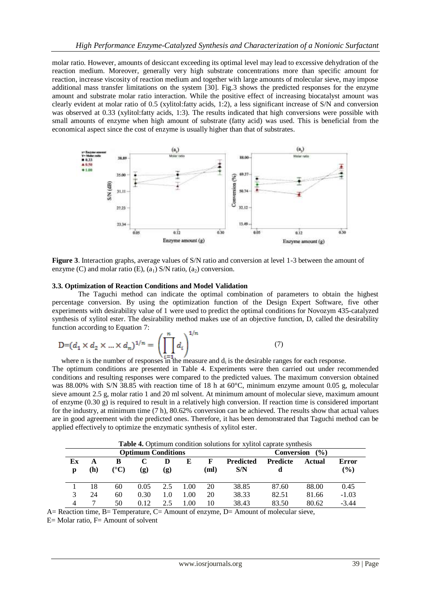molar ratio. However, amounts of desiccant exceeding its optimal level may lead to excessive dehydration of the reaction medium. Moreover, generally very high substrate concentrations more than specific amount for reaction, increase viscosity of reaction medium and together with large amounts of molecular sieve, may impose additional mass transfer limitations on the system [30]. Fig.3 shows the predicted responses for the enzyme amount and substrate molar ratio interaction. While the positive effect of increasing biocatalyst amount was clearly evident at molar ratio of 0.5 (xylitol:fatty acids, 1:2), a less significant increase of S/N and conversion was observed at 0.33 (xylitol:fatty acids, 1:3). The results indicated that high conversions were possible with small amounts of enzyme when high amount of substrate (fatty acid) was used. This is beneficial from the economical aspect since the cost of enzyme is usually higher than that of substrates.



**Figure 3**. Interaction graphs, average values of S/N ratio and conversion at level 1-3 between the amount of enzyme (C) and molar ratio (E),  $(a_1)$  S/N ratio,  $(a_2)$  conversion.

### **3.3. Optimization of Reaction Conditions and Model Validation**

The Taguchi method can indicate the optimal combination of parameters to obtain the highest percentage conversion. By using the optimization function of the Design Expert Software, five other experiments with desirability value of 1 were used to predict the optimal conditions for Novozym 435-catalyzed synthesis of xylitol ester. The desirability method makes use of an objective function, D, called the desirability function according to Equation 7:

$$
D = (d_1 \times d_2 \times ... \times d_n)^{1/n} = \left(\prod_{i=1}^n d_i\right)^{1/n}
$$
 (7)

where n is the number of responses in the measure and  $d_i$  is the desirable ranges for each response.

The optimum conditions are presented in Table 4. Experiments were then carried out under recommended conditions and resulting responses were compared to the predicted values. The maximum conversion obtained was 88.00% with S/N 38.85 with reaction time of 18 h at 60°C, minimum enzyme amount 0.05 g, molecular sieve amount 2.5 g, molar ratio 1 and 20 ml solvent. At minimum amount of molecular sieve, maximum amount of enzyme  $(0.30 \text{ g})$  is required to result in a relatively high conversion. If reaction time is considered important for the industry, at minimum time (7 h), 80.62% conversion can be achieved. The results show that actual values are in good agreement with the predicted ones. Therefore, it has been demonstrated that Taguchi method can be applied effectively to optimize the enzymatic synthesis of xylitol ester.

**Optimum Conditions Conversion** (%) **Ex p A (h) B (°C) C (g) D (g) E F (ml) Predicted S/N Predicte d Actual Error (%)** 1 18 60 0.05 2.5 1.00 20 38.85 87.60 88.00 0.45 3 24 60 0.30 1.0 1.00 20 38.33 82.51 81.66 -1.03 4 7 50 0.12 2.5 1.00 10 38.43 83.50 80.62 -3.44

**Table 4.** Optimum condition solutions for xylitol caprate synthesis

A= Reaction time, B= Temperature, C= Amount of enzyme, D= Amount of molecular sieve,

 $E=$  Molar ratio,  $F=$  Amount of solvent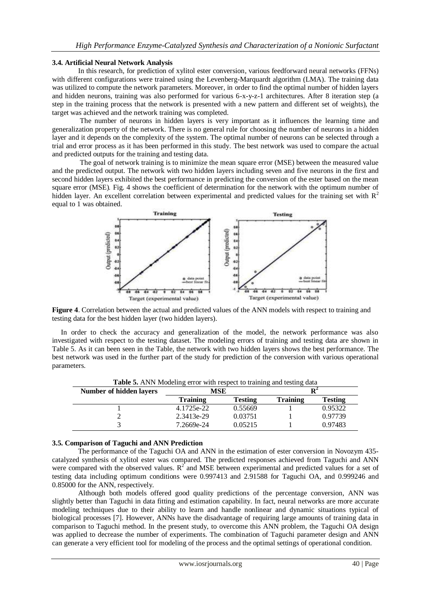### **3.4. Artificial Neural Network Analysis**

In this research, for prediction of xylitol ester conversion, various feedforward neural networks (FFNs) with different configurations were trained using the Levenberg-Marquardt algorithm (LMA). The training data was utilized to compute the network parameters. Moreover, in order to find the optimal number of hidden layers and hidden neurons, training was also performed for various 6-x-y-z-1 architectures. After 8 iteration step (a step in the training process that the network is presented with a new pattern and different set of weights), the target was achieved and the network training was completed.

 The number of neurons in hidden layers is very important as it influences the learning time and generalization property of the network. There is no general rule for choosing the number of neurons in a hidden layer and it depends on the complexity of the system. The optimal number of neurons can be selected through a trial and error process as it has been performed in this study. The best network was used to compare the actual and predicted outputs for the training and testing data.

 The goal of network training is to minimize the mean square error (MSE) between the measured value and the predicted output. The network with two hidden layers including seven and five neurons in the first and second hidden layers exhibited the best performance in predicting the conversion of the ester based on the mean square error (MSE). Fig. 4 shows the coefficient of determination for the network with the optimum number of hidden layer. An excellent correlation between experimental and predicted values for the training set with  $R<sup>2</sup>$ equal to 1 was obtained.



**Figure 4**. Correlation between the actual and predicted values of the ANN models with respect to training and testing data for the best hidden layer (two hidden layers).

 In order to check the accuracy and generalization of the model, the network performance was also investigated with respect to the testing dataset. The modeling errors of training and testing data are shown in Table 5. As it can been seen in the Table, the network with two hidden layers shows the best performance. The best network was used in the further part of the study for prediction of the conversion with various operational parameters.

| <b>Number of hidden layers</b> | MSE             |                |                 |                |  |
|--------------------------------|-----------------|----------------|-----------------|----------------|--|
|                                | <b>Training</b> | <b>Testing</b> | <b>Training</b> | <b>Testing</b> |  |
|                                | 4.1725e-22      | 0.55669        |                 | 0.95322        |  |
|                                | 2.3413e-29      | 0.03751        |                 | 0.97739        |  |
|                                | 7.2669e-24      | 0.05215        |                 | 0.97483        |  |

**Table 5.** ANN Modeling error with respect to training and testing data

### **3.5. Comparison of Taguchi and ANN Prediction**

The performance of the Taguchi OA and ANN in the estimation of ester conversion in Novozym 435 catalyzed synthesis of xylitol ester was compared. The predicted responses achieved from Taguchi and ANN were compared with the observed values.  $R^2$  and MSE between experimental and predicted values for a set of testing data including optimum conditions were 0.997413 and 2.91588 for Taguchi OA, and 0.999246 and 0.85000 for the ANN, respectively.

 Although both models offered good quality predictions of the percentage conversion, ANN was slightly better than Taguchi in data fitting and estimation capability. In fact, neural networks are more accurate modeling techniques due to their ability to learn and handle nonlinear and dynamic situations typical of biological processes [7]. However, ANNs have the disadvantage of requiring large amounts of training data in comparison to Taguchi method. In the present study, to overcome this ANN problem, the Taguchi OA design was applied to decrease the number of experiments. The combination of Taguchi parameter design and ANN can generate a very efficient tool for modeling of the process and the optimal settings of operational condition.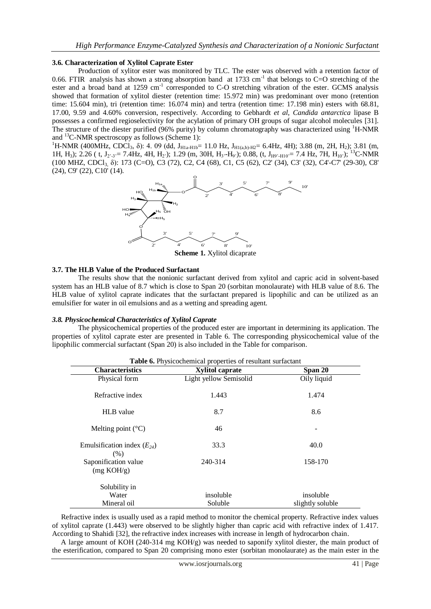### **3.6. Characterization of Xylitol Caprate Ester**

Production of xylitor ester was monitored by TLC. The ester was observed with a retention factor of 0.66. FTIR analysis has shown a strong absorption band at 1733 cm<sup>-1</sup> that belongs to C=O stretching of the ester and a broad band at 1259 cm<sup>-1</sup> corresponded to C-O stretching vibration of the ester. GCMS analysis showed that formation of xylitol diester (retention time: 15.972 min) was predominant over mono (retention time: 15.604 min), tri (retention time: 16.074 min) and tertra (retention time: 17.198 min) esters with 68.81, 17.00, 9.59 and 4.60% conversion, respectively. According to Gebhardt *et al*, *Candida antarctica* lipase B possesses a confirmed regioselectivity for the acylation of primary OH groups of sugar alcohol molecules [31]. The structure of the diester purified (96% purity) by column chromatography was characterized using <sup>1</sup>H-NMR and  $^{13}$ C-NMR spectroscopy as follows (Scheme 1):

<sup>1</sup>H-NMR (400MHz, CDCl<sub>3</sub>,  $\delta$ ): 4. 09 (dd, J<sub>H1a-H1b</sub>= 11.0 Hz, J<sub>H1(a,b)-H2</sub>= 6.4Hz, 4H); 3.88 (m, 2H, H<sub>2</sub>); 3.81 (m, 1H, H<sub>3</sub>); 2.26 ( t, J<sub>2'-3</sub>'= 7.4Hz, 4H, H<sub>2</sub>'); 1.29 (m, 30H, H<sub>3</sub>'-H<sub>9</sub>'); 0.88, (t, J<sub>H9'-H10</sub>'= 7.4 Hz, 7H, H<sub>10</sub>'); <sup>13</sup>C-NMR (100 MHZ, CDCl3, δ): 173 (C=O), C3 (72), C2, C4 (68), C1, C5 (62), C2' (34), C3' (32), C4'-C7' (29-30), C8' (24), C9' (22), C10' (14).



**Scheme 1.** Xylitol dicaprate

### **3.7. The HLB Value of the Produced Surfactant**

The results show that the nonionic surfactant derived from xylitol and capric acid in solvent-based system has an HLB value of 8.7 which is close to Span 20 (sorbitan monolaurate) with HLB value of 8.6. The HLB value of xylitol caprate indicates that the surfactant prepared is lipophilic and can be utilized as an emulsifier for water in oil emulsions and as a wetting and spreading agent.

### *3.8. Physicochemical Characteristics of Xylitol Caprate*

The physicochemical properties of the produced ester are important in determining its application. The properties of xylitol caprate ester are presented in Table 6. The corresponding physicochemical value of the lipophilic commercial surfactant (Span 20) is also included in the Table for comparison.

| <b>Characteristics</b>                  | <b>Xylitol caprate</b> | Span 20          |  |  |
|-----------------------------------------|------------------------|------------------|--|--|
| Physical form                           | Light yellow Semisolid | Oily liquid      |  |  |
| Refractive index                        | 1.443                  | 1.474            |  |  |
| <b>HLB</b> value                        | 8.7                    | 8.6              |  |  |
| Melting point $({}^{\circ}C)$           | 46                     |                  |  |  |
| Emulsification index $(E_{24})$<br>(% ) | 33.3                   | 40.0             |  |  |
| Saponification value<br>(mg KOH/g)      | 240-314                | 158-170          |  |  |
| Solubility in                           |                        |                  |  |  |
| Water                                   | insoluble              | insoluble        |  |  |
| Mineral oil                             | Soluble                | slightly soluble |  |  |

 Refractive index is usually used as a rapid method to monitor the chemical property. Refractive index values of xylitol caprate (1.443) were observed to be slightly higher than capric acid with refractive index of 1.417. According to Shahidi [32], the refractive index increases with increase in length of hydrocarbon chain.

 A large amount of KOH (240-314 mg KOH/g) was needed to saponify xylitol diester, the main product of the esterification, compared to Span 20 comprising mono ester (sorbitan monolaurate) as the main ester in the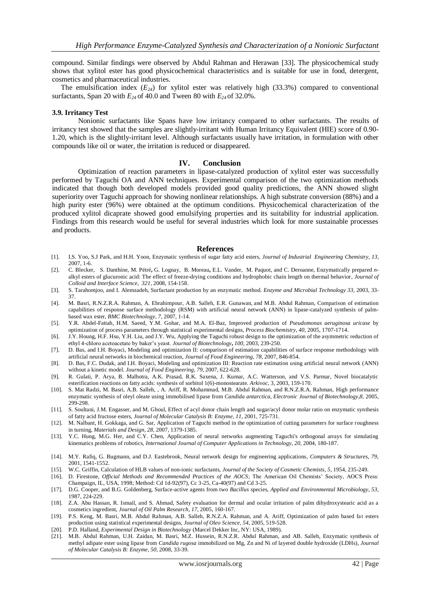compound. Similar findings were observed by Abdul Rahman and Herawan [33]. The physicochemical study shows that xylitol ester has good physicochemical characteristics and is suitable for use in food, detergent, cosmetics and pharmaceutical industries.

The emulsification index  $(E_{24})$  for xylitol ester was relatively high (33.3%) compared to conventional surfactants, Span 20 with  $E_{24}$  of 40.0 and Tween 80 with  $E_{24}$  of 32.0%.

#### **3.9. Irritancy Test**

Nonionic surfactants like Spans have low irritancy compared to other surfactants. The results of irritancy test showed that the samples are slightly-irritant with Human Irritancy Equivalent (HIE) score of 0.90- 1.20, which is the slightly-irritant level. Although surfactants usually have irritation, in formulation with other compounds like oil or water, the irritation is reduced or disappeared.

#### **IV. Conclusion**

Optimization of reaction parameters in lipase-catalyzed production of xylitol ester was successfully performed by Taguchi OA and ANN techniques. Experimental comparison of the two optimization methods indicated that though both developed models provided good quality predictions, the ANN showed slight superiority over Taguchi approach for showing nonlinear relationships. A high substrate conversion (88%) and a high purity ester (96%) were obtained at the optimum conditions. Physicochemical characterization of the produced xylitol dicaprate showed good emulsifying properties and its suitability for industrial application. Findings from this research would be useful for several industries which look for more sustainable processes and products.

#### **References**

- [1]. I.S. Yoo, S.J Park, and H.H. Yoon, Enzymatic synthesis of sugar fatty acid esters*, Journal of [Industrial Engineering](http://www.nonprofitjournals.org/journals/oil_chemists.htm) Chemistry, 13,*  2007, 1-6.
- [2]. C. Blecker[,](http://www.sciencedirect.com/science?_ob=RedirectURL&_method=outwardLink&_partnerName=27983&_origin=article&_zone=art_page&_linkType=scopusAuthorDocuments&_targetURL=http%3A%2F%2Fwww.scopus.com%2Fscopus%2Finward%2Fauthor.url%3FpartnerID%3D10%26rel%3D3.0.0%26sortField%3Dcited%26sortOrder%3Dasc%26author%3DBlecker,%2520C.%26authorID%3D6701473379%26md5%3D82117955f67cd38510148071015ce298&_acct=C000012478&_version=1&_userid=6594633&md5=0b20204cd9439b8ff9a8e517d635bdff) [S.](http://www.sciencedirect.com/science?_ob=RedirectURL&_method=outwardLink&_partnerName=27983&_origin=article&_zone=art_page&_linkType=scopusAuthorDocuments&_targetURL=http%3A%2F%2Fwww.scopus.com%2Fscopus%2Finward%2Fauthor.url%3FpartnerID%3D10%26rel%3D3.0.0%26sortField%3Dcited%26sortOrder%3Dasc%26author%3DDanthine,%2520S.%26authorID%3D6506406367%26md5%3D719f9439a31a06563e241ccd06c65843&_acct=C000012478&_version=1&_userid=6594633&md5=fda807e19d483c03750ae3027eae6ab7) Danthine, M. [Pétré](http://www.sciencedirect.com/science?_ob=RedirectURL&_method=outwardLink&_partnerName=27983&_origin=article&_zone=art_page&_linkType=scopusAuthorDocuments&_targetURL=http%3A%2F%2Fwww.scopus.com%2Fscopus%2Finward%2Fauthor.url%3FpartnerID%3D10%26rel%3D3.0.0%26sortField%3Dcited%26sortOrder%3Dasc%26author%3DPetre,%2520M.%26authorID%3D23568595800%26md5%3Dc8025bb844ad34d00a08db76c1680763&_acct=C000012478&_version=1&_userid=6594633&md5=a1718ba59929712eda8905f93fe7c24b)**,** G. [Lognay,](http://www.sciencedirect.com/science?_ob=RedirectURL&_method=outwardLink&_partnerName=27983&_origin=article&_zone=art_page&_linkType=scopusAuthorDocuments&_targetURL=http%3A%2F%2Fwww.scopus.com%2Fscopus%2Finward%2Fauthor.url%3FpartnerID%3D10%26rel%3D3.0.0%26sortField%3Dcited%26sortOrder%3Dasc%26author%3DLognay,%2520G.%26authorID%3D7004056499%26md5%3D73d9e61043c62cebf73789ddaa6c2ccc&_acct=C000012478&_version=1&_userid=6594633&md5=bd36c02f8dba699828863ccf2bd530e6) [B. Moreau](http://www.sciencedirect.com/science?_ob=RedirectURL&_method=outwardLink&_partnerName=27983&_origin=article&_zone=art_page&_linkType=scopusAuthorDocuments&_targetURL=http%3A%2F%2Fwww.scopus.com%2Fscopus%2Finward%2Fauthor.url%3FpartnerID%3D10%26rel%3D3.0.0%26sortField%3Dcited%26sortOrder%3Dasc%26author%3DMoreau,%2520B.%26authorID%3D23568512300%26md5%3D69714bef68076360d79ce8ea6d1841f4&_acct=C000012478&_version=1&_userid=6594633&md5=be688f78f75f19f2b43d7d23e26199d6)**,** [E.L](http://www.sciencedirect.com/science?_ob=RedirectURL&_method=outwardLink&_partnerName=27983&_origin=article&_zone=art_page&_linkType=scopusAuthorDocuments&_targetURL=http%3A%2F%2Fwww.scopus.com%2Fscopus%2Finward%2Fauthor.url%3FpartnerID%3D10%26rel%3D3.0.0%26sortField%3Dcited%26sortOrder%3Dasc%26author%3DElst,%2520L.%2520Vander%26authorID%3D25649280600%26md5%3D608dae30bd012fb4fdca309b9efe4db9&_acct=C000012478&_version=1&_userid=6594633&md5=40af7c29716c528ef2e6dddb9564eeac). Vander, M. [Paquot,](http://www.sciencedirect.com/science?_ob=RedirectURL&_method=outwardLink&_partnerName=27983&_origin=article&_zone=art_page&_linkType=scopusAuthorDocuments&_targetURL=http%3A%2F%2Fwww.scopus.com%2Fscopus%2Finward%2Fauthor.url%3FpartnerID%3D10%26rel%3D3.0.0%26sortField%3Dcited%26sortOrder%3Dasc%26author%3DPaquot,%2520M.%26authorID%3D7003645048%26md5%3D5b06f618f2d70022963fbaff59248bd1&_acct=C000012478&_version=1&_userid=6594633&md5=040400365a3df2e14843803adc7346b4) and C. [Deroanne,](http://www.sciencedirect.com/science?_ob=RedirectURL&_method=outwardLink&_partnerName=27983&_origin=article&_zone=art_page&_linkType=scopusAuthorDocuments&_targetURL=http%3A%2F%2Fwww.scopus.com%2Fscopus%2Finward%2Fauthor.url%3FpartnerID%3D10%26rel%3D3.0.0%26sortField%3Dcited%26sortOrder%3Dasc%26author%3DDeroanne,%2520C.%26authorID%3D6604086646%26md5%3D02b9e1a983719c10fd3f4567db4bf85a&_acct=C000012478&_version=1&_userid=6594633&md5=385efd60c9973faf01fd7c79fb9d211a) Enzymatically prepared *n*alkyl esters of glucuronic acid: The effect of freeze-drying conditions and hydrophobic chain length on thermal behavior, *Journal of Colloid and Interface Science*, *[321,](http://www.sciencedirect.com/science?_ob=PublicationURL&_tockey=%23TOC%236857%232008%23996789998%23683925%23FLA%23&_cdi=6857&_pubType=J&view=c&_auth=y&_acct=C000012478&_version=1&_urlVersion=0&_userid=6594633&md5=7a7ca191724ea35c54a9128b62eceb91)* 2008, 154-158.
- [3]. S. Tarahomjoo, and I. Alemzadeh, Surfactant production by an enzymatic method. *Enzyme and Microbial Technology 33,* 2003, 33- 37.
- [4]. M. Basri, R.N.Z.R.A. Rahman, A. Ebrahimpour, A.B. Salleh, E.R. Gunawan, and M.B. Abdul Rahman, Comparison of estimation capabilities of response surface methodology (RSM) with artificial neural network (ANN) in lipase-catalyzed synthesis of palmbased wax ester, *BMC Biotechnology*, *7,* 2007, 1-14.
- [5]. Y.R. Abdel-Fattah, H.M. Saeed, Y.M. Gohar, and M.A. El-Baz, Improved production of *Pseudomonas aeruginosa uricase* by optimization of process parameters through statistical experimental designs, *Process Biochemistry, 40,* 2005, 1707-1714.
- [6]. J.Y. Houng, H.F. Hsu, Y.H. Liu, and J.Y. Wu, Applying the Taguchi robust design to the optimization of the asymmetric reduction of ethyl 4-chloro acetoacetate by baker's yeast. *Journal of Biotechnology***,** *100,* 2003, 239-250.
- [7]. D. Bas, and I.H. Boyaci, Modeling and optimization II: comparison of estimation capabilities of surface response methodology with artificial neural networks in biochemical reaction, *Journal of Food Engineering*, *78,* 2007, 846-854.
- [8]. D. Bas, F.C. Dudak, and I.H. Boyaci, Modeling and optimization III: Reaction rate estimation using artificial neural network (ANN) without a kinetic model. *Journal of Food Engineering, 79,* 2007, 622-628.
- [9]. R. Gulati, P. Arya, B. Malhotra, A.K. Prasad, R.K. Saxena, J. Kumar, A.C. Watterson, and V.S. Parmar, Novel biocatalytic esterification reactions on fatty acids: synthesis of sorbitol 1(6)-monostearate. *Arkivoc*, 3, 2003, 159-170.
- [10]. S. Mat Radzi, M. Basri, A.B. Salleh, , A. Ariff, R. Mohammad, M.B. Abdul Rahman, and R.N.Z.R.A. Rahman, High performance enzymatic synthesis of oleyl oleate using immobilised lipase from *Candida antarctica, Electronic Journal of Biotechnology,8,* 2005, 299-298.
- [11]. S. Soultani, J.M. Engasser, and M. Ghoul, Effect of acyl donor chain length and sugar/acyl donor molar ratio on enzymatic synthesis of fatty acid fructose esters, *[Journal of Molecular Catalysis B: Enzyme](http://www.sciencedirect.com/science/journal/13811177), 11,* 2001, 725-731.
- [12]. M. Nalbant, H. Gokkaga, and G. Sar, Application of Taguchi method in the optimization of cutting parameters for surface roughness in turning, *Materials and Design, 28,* 2007, 1379-1385.
- [13]. Y.C. Hung, M.G. Her, and C.Y. Chen, Application of neural networks augmenting Taguchi's orthogonal arrays for simulating kinematics problems of robotics, *International Journal of Computer Applications in Technology, 20,* 2004, 180-187.
- [14]. M.Y. Rafiq, G. Bugmann, and D.J. Eastebrook, [Neural network design for engineering applications,](http://www.ingentaconnect.com/content/els/00457949/2001/00000079/00000017/art00039;jsessionid=17f7dqksrh513.alice) *Computers & Structures, 79,*  2001, 1541-1552.
- [15]. W.C[. Griffin,](http://www.sciencedirect.com/science?_ob=ArticleURL&_udi=B6WBP-4S2F5N3-4&_user=6594633&_coverDate=08%2F31%2F2008&_rdoc=1&_fmt=high&_orig=search&_sort=d&_docanchor=&view=c&_searchStrId=1435640926&_rerunOrigin=google&_acct=C000012478&_version=1&_urlVersion=0&_userid=6594633&md5=669cfe96ab40976262fe8bb7d0431e96#bbib17) Calculation of HLB values of non-ionic surfactants, *Journal of the Society of Cosmetic Chemists, 5,* 1954, 235-249.
- [16]. D. Firestone, *Official Methods and Recommended Practices of the AOCS*; The American Oil Chemists' Society, AOCS Press: Champaign, IL, USA, 1998; Method: Cd 1d-92(97), Cc 3-25, Ca-40(97) and Cd 3-25.
- [17]. D.G. Cooper, and B.G. Goldenberg, Surface-active agents from two *Bacillus* species, *Applied and Environmental Microbiology, 53,* 1987, 224-229.
- [18]. Z.A. Abu Hassan, R. Ismail, and S. Ahmad, Safety evaluation for dermal and ocular irritation of palm dihydroxystearic acid as a cosmetics ingredient, *Journal of Oil Palm Research, 17,* 2005, 160-167.
- [19]. P.S. Keng, M. Basri, M.B. Abdul Rahman, A.B. Salleh, R.N.Z.A. Rahman, and A. Ariff, Optimization of palm based fa t esters production using statistical experimental designs, *Journal of Oleo Science, 54,* 2005, 519-528.
- [20]. P.D. Halland, *Experimental Design in Biotechnology* (Marcel Dekker Inc, NY: USA, 1989).
- [21]. M.B. Abdul Rahman, U.H. Zaidan, M. Basri, M.Z. Hussein, R.N.Z.R. Abdul Rahman, and AB. Salleh, Enzymatic synthesis of methyl adipate ester using lipase from *Candida rugosa* immobilized on Mg, Zn and Ni of layered double hydroxide (LDHs), *Journal of Molecular Catalysis B: Enzyme, 50,* 2008, 33-39.